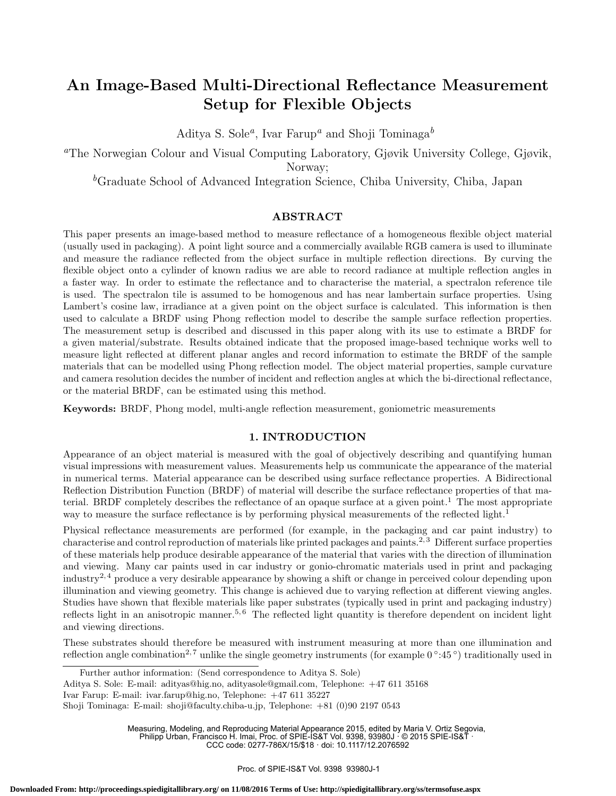# **An Image-Based Multi-Directional Reflectance Measurement Setup for Flexible Objects**

Aditya S. Sole*a*, Ivar Farup*<sup>a</sup>* and Shoji Tominaga*<sup>b</sup>*

*<sup>a</sup>*The Norwegian Colour and Visual Computing Laboratory, Gjøvik University College, Gjøvik, Norway;

*<sup>b</sup>*Graduate School of Advanced Integration Science, Chiba University, Chiba, Japan

## **ABSTRACT**

This paper presents an image-based method to measure reflectance of a homogeneous flexible object material (usually used in packaging). A point light source and a commercially available RGB camera is used to illuminate and measure the radiance reflected from the object surface in multiple reflection directions. By curving the flexible object onto a cylinder of known radius we are able to record radiance at multiple reflection angles in a faster way. In order to estimate the reflectance and to characterise the material, a spectralon reference tile is used. The spectralon tile is assumed to be homogenous and has near lambertain surface properties. Using Lambert's cosine law, irradiance at a given point on the object surface is calculated. This information is then used to calculate a BRDF using Phong reflection model to describe the sample surface reflection properties. The measurement setup is described and discussed in this paper along with its use to estimate a BRDF for a given material/substrate. Results obtained indicate that the proposed image-based technique works well to measure light reflected at different planar angles and record information to estimate the BRDF of the sample materials that can be modelled using Phong reflection model. The object material properties, sample curvature and camera resolution decides the number of incident and reflection angles at which the bi-directional reflectance, or the material BRDF, can be estimated using this method.

**Keywords:** BRDF, Phong model, multi-angle reflection measurement, goniometric measurements

## **1. INTRODUCTION**

Appearance of an object material is measured with the goal of objectively describing and quantifying human visual impressions with measurement values. Measurements help us communicate the appearance of the material in numerical terms. Material appearance can be described using surface reflectance properties. A Bidirectional Reflection Distribution Function (BRDF) of material will describe the surface reflectance properties of that material. BRDF completely describes the reflectance of an opaque surface at a given point.<sup>1</sup> The most appropriate way to measure the surface reflectance is by performing physical measurements of the reflected light.<sup>1</sup>

Physical reflectance measurements are performed (for example, in the packaging and car paint industry) to characterise and control reproduction of materials like printed packages and paints.<sup>2, 3</sup> Different surface properties of these materials help produce desirable appearance of the material that varies with the direction of illumination and viewing. Many car paints used in car industry or gonio-chromatic materials used in print and packaging industry<sup>2, 4</sup> produce a very desirable appearance by showing a shift or change in perceived colour depending upon illumination and viewing geometry. This change is achieved due to varying reflection at different viewing angles. Studies have shown that flexible materials like paper substrates (typically used in print and packaging industry) reflects light in an anisotropic manner.<sup>5,6</sup> The reflected light quantity is therefore dependent on incident light and viewing directions.

These substrates should therefore be measured with instrument measuring at more than one illumination and reflection angle combination<sup>2,7</sup> unlike the single geometry instruments (for example  $0°:45°$ ) traditionally used in

Measuring, Modeling, and Reproducing Material Appearance 2015, edited by Maria V. Ortiz Segovia,

Philipp Urban, Francisco H. Imai, Proc. of SPIE-IS&T Vol. 9398, 93980J · © 2015 SPIE-IS&T · CCC code: 0277-786X/15/\$18 · doi: 10.1117/12.2076592

Further author information: (Send correspondence to Aditya S. Sole)

Aditya S. Sole: E-mail: adityas@hig.no, adityasole@gmail.com, Telephone: +47 611 35168

Ivar Farup: E-mail: ivar.farup@hig.no, Telephone: +47 611 35227

Shoji Tominaga: E-mail: shoji@faculty.chiba-u.jp, Telephone: +81 (0)90 2197 0543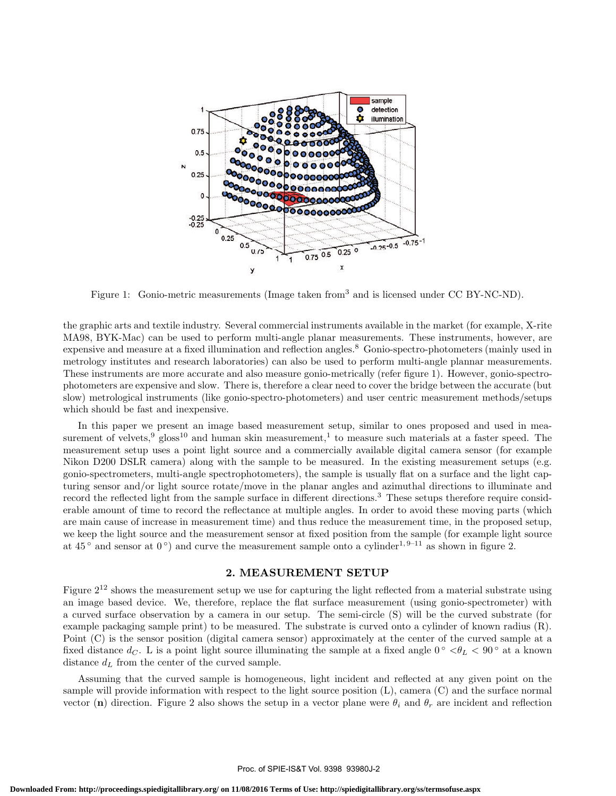

Figure 1: Gonio-metric measurements (Image taken from<sup>3</sup> and is licensed under CC BY-NC-ND).

the graphic arts and textile industry. Several commercial instruments available in the market (for example, X-rite MA98, BYK-Mac) can be used to perform multi-angle planar measurements. These instruments, however, are expensive and measure at a fixed illumination and reflection angles.<sup>8</sup> Gonio-spectro-photometers (mainly used in metrology institutes and research laboratories) can also be used to perform multi-angle plannar measurements. These instruments are more accurate and also measure gonio-metrically (refer figure 1). However, gonio-spectrophotometers are expensive and slow. There is, therefore a clear need to cover the bridge between the accurate (but slow) metrological instruments (like gonio-spectro-photometers) and user centric measurement methods/setups which should be fast and inexpensive.

In this paper we present an image based measurement setup, similar to ones proposed and used in measurement of velvets,<sup>9</sup> gloss<sup>10</sup> and human skin measurement,<sup>1</sup> to measure such materials at a faster speed. The measurement setup uses a point light source and a commercially available digital camera sensor (for example Nikon D200 DSLR camera) along with the sample to be measured. In the existing measurement setups (e.g. gonio-spectrometers, multi-angle spectrophotometers), the sample is usually flat on a surface and the light capturing sensor and/or light source rotate/move in the planar angles and azimuthal directions to illuminate and record the reflected light from the sample surface in different directions.<sup>3</sup> These setups therefore require considerable amount of time to record the reflectance at multiple angles. In order to avoid these moving parts (which are main cause of increase in measurement time) and thus reduce the measurement time, in the proposed setup, we keep the light source and the measurement sensor at fixed position from the sample (for example light source at 45 $\degree$  and sensor at 0 $\degree$ ) and curve the measurement sample onto a cylinder<sup>1,9–11</sup> as shown in figure 2.

### **2. MEASUREMENT SETUP**

Figure  $2^{12}$  shows the measurement setup we use for capturing the light reflected from a material substrate using an image based device. We, therefore, replace the flat surface measurement (using gonio-spectrometer) with a curved surface observation by a camera in our setup. The semi-circle (S) will be the curved substrate (for example packaging sample print) to be measured. The substrate is curved onto a cylinder of known radius (R). Point (C) is the sensor position (digital camera sensor) approximately at the center of the curved sample at a fixed distance d<sub>C</sub>. L is a point light source illuminating the sample at a fixed angle  $0^{\circ} < \theta_L < 90^{\circ}$  at a known distance  $d_L$  from the center of the curved sample.

Assuming that the curved sample is homogeneous, light incident and reflected at any given point on the sample will provide information with respect to the light source position (L), camera (C) and the surface normal vector (**n**) direction. Figure 2 also shows the setup in a vector plane were  $\theta_i$  and  $\theta_r$  are incident and reflection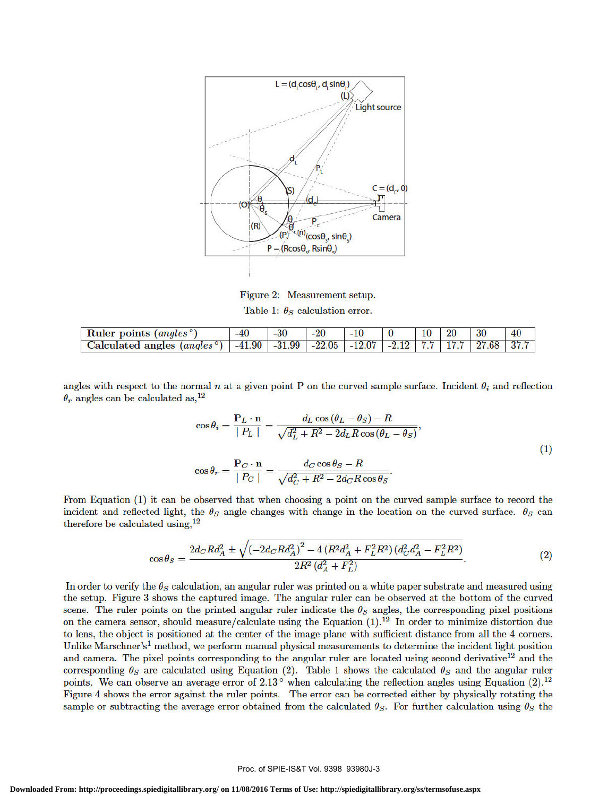

Figure 2: Measurement setup. Table 1:  $\theta_S$  calculation error.

| Ruler points $(anqles^{\circ})$                                                            | $-40$ | $-30$ | $-20$ |  | 10 20 30 |  |
|--------------------------------------------------------------------------------------------|-------|-------|-------|--|----------|--|
| Calculated angles $(angles^{\circ})$ -41.90 -31.99 -22.05 -12.07 -2.12 7.7 17.7 27.68 37.7 |       |       |       |  |          |  |

angles with respect to the normal n at a given point P on the curved sample surface. Incident  $\theta_i$  and reflection  $\theta_r$  angles can be calculated as,<sup>12</sup>

$$
\cos \theta_i = \frac{P_L \cdot n}{|P_L|} = \frac{d_L \cos (\theta_L - \theta_S) - R}{\sqrt{d_L^2 + R^2 - 2d_L R \cos (\theta_L - \theta_S)}},
$$
  
\n
$$
\cos \theta_r = \frac{P_C \cdot n}{|P_C|} = \frac{d_C \cos \theta_S - R}{\sqrt{d_C^2 + R^2 - 2d_C R \cos \theta_S}}.
$$
\n(1)

From Equation (1) it can be observed that when choosing a point on the curved sample surface to record the incident and reflected light, the  $\theta_S$  angle changes with change in the location on the curved surface.  $\theta_S$  can therefore be calculated using,  $12$ 

$$
\cos\theta_S = \frac{2d_C R d_A^2 \pm \sqrt{\left(-2d_C R d_A^2\right)^2 - 4\left(R^2 d_A^2 + F_L^2 R^2\right)\left(d_C^2 d_A^2 - F_L^2 R^2\right)}}{2R^2\left(d_A^2 + F_L^2\right)}.\tag{2}
$$

In order to verify the  $\theta_S$  calculation, an angular ruler was printed on a white paper substrate and measured using the setup. Figure 3 shows the captured image. The angular ruler can be observed at the bottom of the curved scene. The ruler points on the printed angular ruler indicate the  $\theta_S$  angles, the corresponding pixel positions on the camera sensor, should measure/calculate using the Equation  $(1)$ .<sup>12</sup> In order to minimize distortion due to lens, the object is positioned at the center of the image plane with sufficient distance from all the 4 corners. Unlike Marschner's<sup>1</sup> method, we perform manual physical measurements to determine the incident light position and camera. The pixel points corresponding to the angular ruler are located using second derivative<sup>12</sup> and the corresponding  $\theta_S$  are calculated using Equation (2). Table 1 shows the calculated  $\theta_S$  and the angular ruler points. We can observe an average error of 2.13<sup>°</sup> when calculating the reflection angles using Equation (2).<sup>12</sup> Figure 4 shows the error against the ruler points. The error can be corrected either by physically rotating the sample or subtracting the average error obtained from the calculated  $\theta_{S}$ . For further calculation using  $\theta_{S}$  the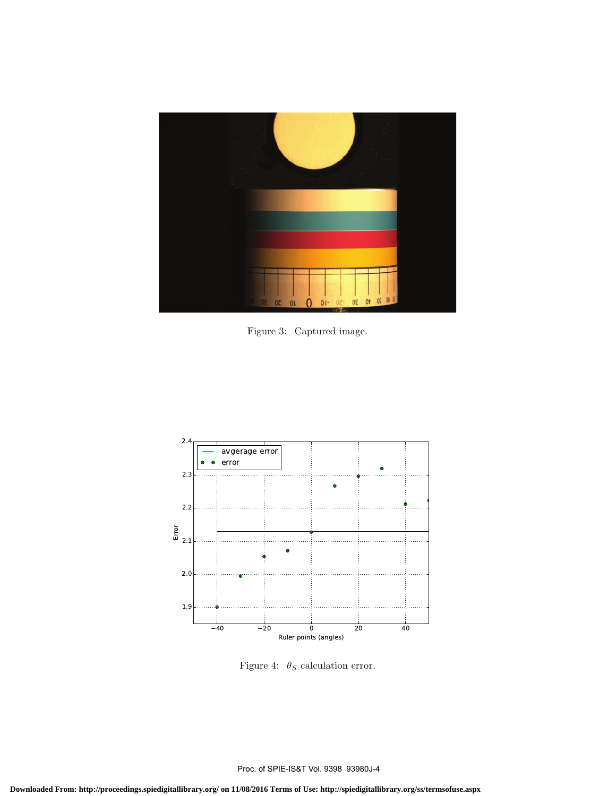

Figure 3: Captured image.



Figure 4:  $\theta_S$  calculation error.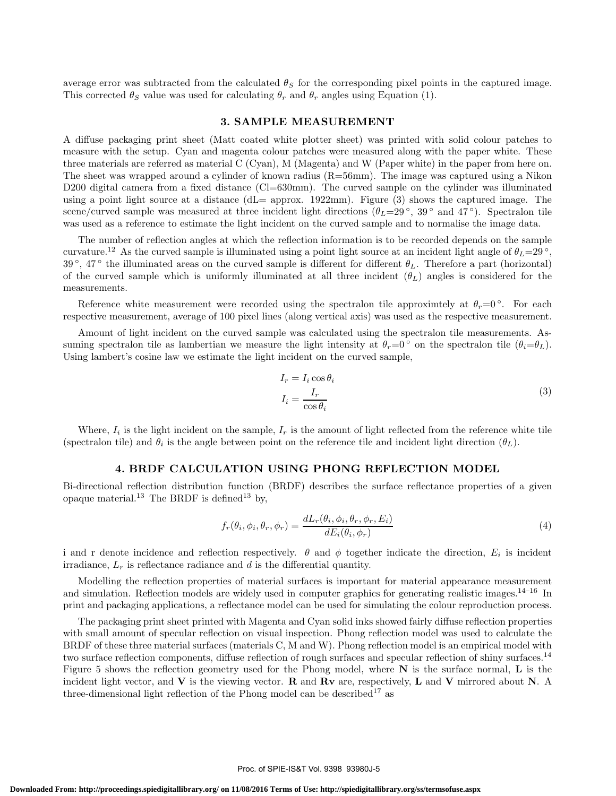average error was subtracted from the calculated  $\theta_S$  for the corresponding pixel points in the captured image. This corrected  $\theta_S$  value was used for calculating  $\theta_r$  and  $\theta_r$  angles using Equation (1).

## **3. SAMPLE MEASUREMENT**

A diffuse packaging print sheet (Matt coated white plotter sheet) was printed with solid colour patches to measure with the setup. Cyan and magenta colour patches were measured along with the paper white. These three materials are referred as material C (Cyan), M (Magenta) and W (Paper white) in the paper from here on. The sheet was wrapped around a cylinder of known radius (R=56mm). The image was captured using a Nikon D200 digital camera from a fixed distance (Cl=630mm). The curved sample on the cylinder was illuminated using a point light source at a distance (dL= approx. 1922mm). Figure (3) shows the captured image. The scene/curved sample was measured at three incident light directions  $(\theta_L=29^\circ, 39^\circ \text{ and } 47^\circ)$ . Spectralon tile was used as a reference to estimate the light incident on the curved sample and to normalise the image data.

The number of reflection angles at which the reflection information is to be recorded depends on the sample curvature.<sup>12</sup> As the curved sample is illuminated using a point light source at an incident light angle of  $\theta_L=29^\circ$ , 39<sup>°</sup>, 47<sup>°</sup> the illuminated areas on the curved sample is different for different  $\theta_L$ . Therefore a part (horizontal) of the curved sample which is uniformly illuminated at all three incident  $(\theta_L)$  angles is considered for the measurements.

Reference white measurement were recorded using the spectralon tile approximately at  $\theta_r=0$ °. For each respective measurement, average of 100 pixel lines (along vertical axis) was used as the respective measurement.

Amount of light incident on the curved sample was calculated using the spectralon tile measurements. Assuming spectralon tile as lambertian we measure the light intensity at  $\theta_r=0$ ° on the spectralon tile  $(\theta_i=\theta_L)$ . Using lambert's cosine law we estimate the light incident on the curved sample,

$$
I_r = I_i \cos \theta_i
$$
  

$$
I_i = \frac{I_r}{\cos \theta_i}
$$
 (3)

Where,  $I_i$  is the light incident on the sample,  $I_r$  is the amount of light reflected from the reference white tile (spectralon tile) and  $\theta_i$  is the angle between point on the reference tile and incident light direction  $(\theta_L)$ .

## **4. BRDF CALCULATION USING PHONG REFLECTION MODEL**

Bi-directional reflection distribution function (BRDF) describes the surface reflectance properties of a given opaque material.<sup>13</sup> The BRDF is defined<sup>13</sup> by,

$$
f_r(\theta_i, \phi_i, \theta_r, \phi_r) = \frac{dL_r(\theta_i, \phi_i, \theta_r, \phi_r, E_i)}{dE_i(\theta_i, \phi_r)}
$$
(4)

i and r denote incidence and reflection respectively.  $\theta$  and  $\phi$  together indicate the direction,  $E_i$  is incident irradiance,  $L_r$  is reflectance radiance and  $d$  is the differential quantity.

Modelling the reflection properties of material surfaces is important for material appearance measurement and simulation. Reflection models are widely used in computer graphics for generating realistic images.14–16 In print and packaging applications, a reflectance model can be used for simulating the colour reproduction process.

The packaging print sheet printed with Magenta and Cyan solid inks showed fairly diffuse reflection properties with small amount of specular reflection on visual inspection. Phong reflection model was used to calculate the BRDF of these three material surfaces (materials C, M and W). Phong reflection model is an empirical model with two surface reflection components, diffuse reflection of rough surfaces and specular reflection of shiny surfaces.<sup>14</sup> Figure 5 shows the reflection geometry used for the Phong model, where **N** is the surface normal, **L** is the incident light vector, and **V** is the viewing vector. **R** and **Rv** are, respectively, **L** and **V** mirrored about **N**. A three-dimensional light reflection of the Phong model can be described<sup>17</sup> as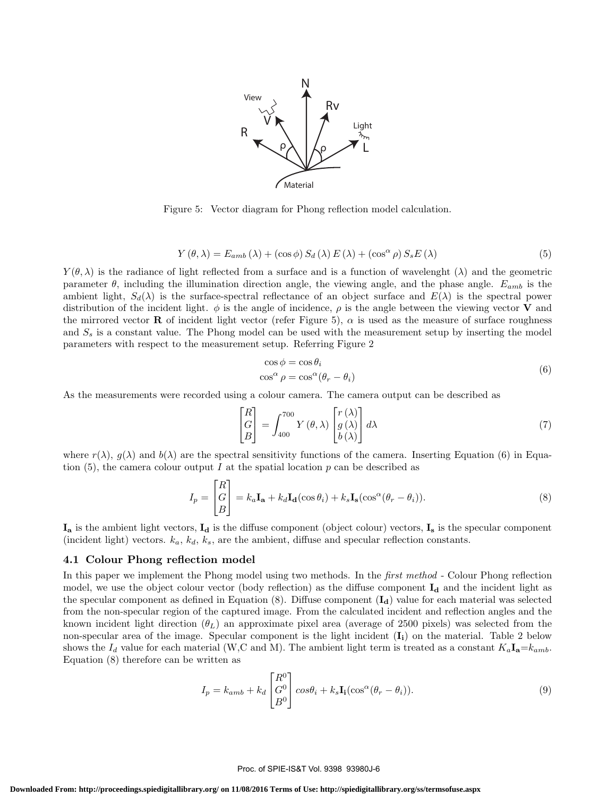

Figure 5: Vector diagram for Phong reflection model calculation.

$$
Y(\theta,\lambda) = E_{amb}(\lambda) + (\cos\phi) S_d(\lambda) E(\lambda) + (\cos^{\alpha} \rho) S_s E(\lambda)
$$
\n(5)

 $Y(\theta, \lambda)$  is the radiance of light reflected from a surface and is a function of wavelenght  $(\lambda)$  and the geometric parameter  $\theta$ , including the illumination direction angle, the viewing angle, and the phase angle.  $E_{amb}$  is the ambient light,  $S_d(\lambda)$  is the surface-spectral reflectance of an object surface and  $E(\lambda)$  is the spectral power distribution of the incident light.  $\phi$  is the angle of incidence,  $\rho$  is the angle between the viewing vector **V** and the mirrored vector **R** of incident light vector (refer Figure 5),  $\alpha$  is used as the measure of surface roughness and  $S<sub>s</sub>$  is a constant value. The Phong model can be used with the measurement setup by inserting the model parameters with respect to the measurement setup. Referring Figure 2

$$
\cos \phi = \cos \theta_i
$$
  
\n
$$
\cos^{\alpha} \rho = \cos^{\alpha} (\theta_r - \theta_i)
$$
\n(6)

As the measurements were recorded using a colour camera. The camera output can be described as

$$
\begin{bmatrix} R \\ G \\ B \end{bmatrix} = \int_{400}^{700} Y(\theta, \lambda) \begin{bmatrix} r(\lambda) \\ g(\lambda) \\ b(\lambda) \end{bmatrix} d\lambda \tag{7}
$$

where  $r(\lambda)$ ,  $q(\lambda)$  and  $b(\lambda)$  are the spectral sensitivity functions of the camera. Inserting Equation (6) in Equation (5), the camera colour output I at the spatial location  $p$  can be described as

$$
I_p = \begin{bmatrix} R \\ G \\ B \end{bmatrix} = k_a \mathbf{I_a} + k_d \mathbf{I_d} (\cos \theta_i) + k_s \mathbf{I_s} (\cos^{\alpha} (\theta_r - \theta_i)). \tag{8}
$$

**I<sup>a</sup>** is the ambient light vectors, **I<sup>d</sup>** is the diffuse component (object colour) vectors, **I<sup>s</sup>** is the specular component (incident light) vectors.  $k_a$ ,  $k_d$ ,  $k_s$ , are the ambient, diffuse and specular reflection constants.

#### **4.1 Colour Phong reflection model**

In this paper we implement the Phong model using two methods. In the *first method* - Colour Phong reflection model, we use the object colour vector (body reflection) as the diffuse component  $I_d$  and the incident light as the specular component as defined in Equation (8). Diffuse component (**Id**) value for each material was selected from the non-specular region of the captured image. From the calculated incident and reflection angles and the known incident light direction  $(\theta_L)$  an approximate pixel area (average of 2500 pixels) was selected from the non-specular area of the image. Specular component is the light incident (**Ii**) on the material. Table 2 below shows the  $I_d$  value for each material (W,C and M). The ambient light term is treated as a constant  $K_a \mathbf{I}_a = k_{amb}$ . Equation (8) therefore can be written as

$$
I_p = k_{amb} + k_d \begin{bmatrix} R^0 \\ G^0 \\ B^0 \end{bmatrix} \cos \theta_i + k_s \mathbf{I}_i (\cos^\alpha (\theta_r - \theta_i)). \tag{9}
$$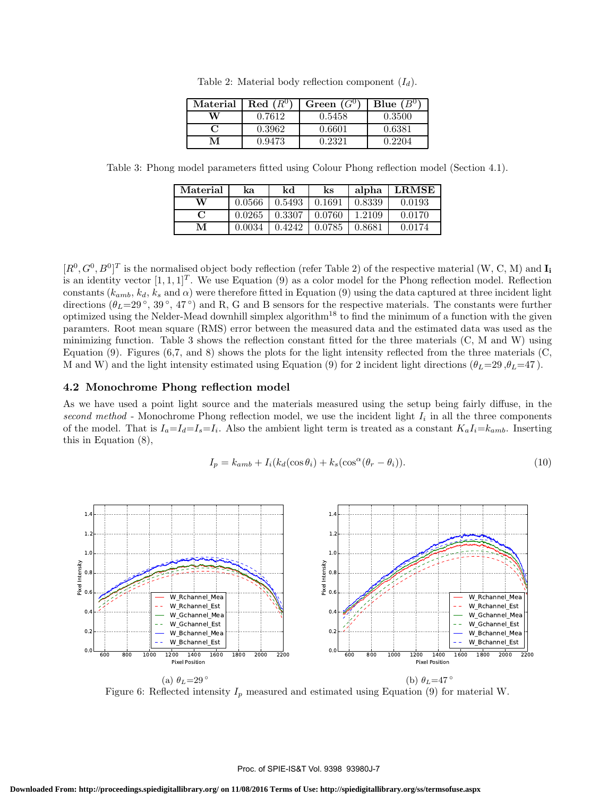| Material | $\text{Red}$ $(R^0)$ | Green $(G^{\cup})$ | Blue $(B^0)$ |
|----------|----------------------|--------------------|--------------|
| W        | 0.7612               | 0.5458             | 0.3500       |
| . ا      | 0.3962               | 0.6601             | 0.6381       |
|          | 0.9473               | 0.2321             | 0.2204       |

Table 2: Material body reflection component  $(I_d)$ .

Table 3: Phong model parameters fitted using Colour Phong reflection model (Section 4.1).

| Material    | ka     | kd     | ks     | alpha  | <b>LRMSE</b> |
|-------------|--------|--------|--------|--------|--------------|
| W           | 0.0566 | 0.5493 | 0.1691 | 0.8339 | 0.0193       |
| $\mathbf C$ | 0.0265 | 0.3307 | 0.0760 | 1.2109 | 0.0170       |
| М           | 0.0034 | 0.4242 | 0.0785 | 0.8681 | 0.0174       |

 $[R^0, G^0, B^0]^T$  is the normalised object body reflection (refer Table 2) of the respective material (W, C, M) and  $I_i$ is an identity vector  $[1, 1, 1]^T$ . We use Equation (9) as a color model for the Phong reflection model. Reflection constants  $(k_{amb}, k_d, k_s$  and  $\alpha)$  were therefore fitted in Equation (9) using the data captured at three incident light directions  $(\theta_L=29^\circ, 39^\circ, 47^\circ)$  and R, G and B sensors for the respective materials. The constants were further optimized using the Nelder-Mead downhill simplex algorithm<sup>18</sup> to find the minimum of a function with the given paramters. Root mean square (RMS) error between the measured data and the estimated data was used as the minimizing function. Table 3 shows the reflection constant fitted for the three materials (C, M and W) using Equation  $(9)$ . Figures  $(6,7, \text{ and } 8)$  shows the plots for the light intensity reflected from the three materials  $(C, \text{)}$ M and W) and the light intensity estimated using Equation (9) for 2 incident light directions ( $\theta_L=29, \theta_L=47$ ).

# **4.2 Monochrome Phong reflection model**

As we have used a point light source and the materials measured using the setup being fairly diffuse, in the *second method* - Monochrome Phong reflection model, we use the incident light  $I_i$  in all the three components of the model. That is  $I_a = I_d = I_s = I_i$ . Also the ambient light term is treated as a constant  $K_a I_i = k_{amb}$ . Inserting this in Equation (8),

$$
I_p = k_{amb} + I_i(k_d(\cos\theta_i) + k_s(\cos^{\alpha}(\theta_r - \theta_i)).
$$
\n(10)



Figure 6: Reflected intensity  $I_p$  measured and estimated using Equation (9) for material W.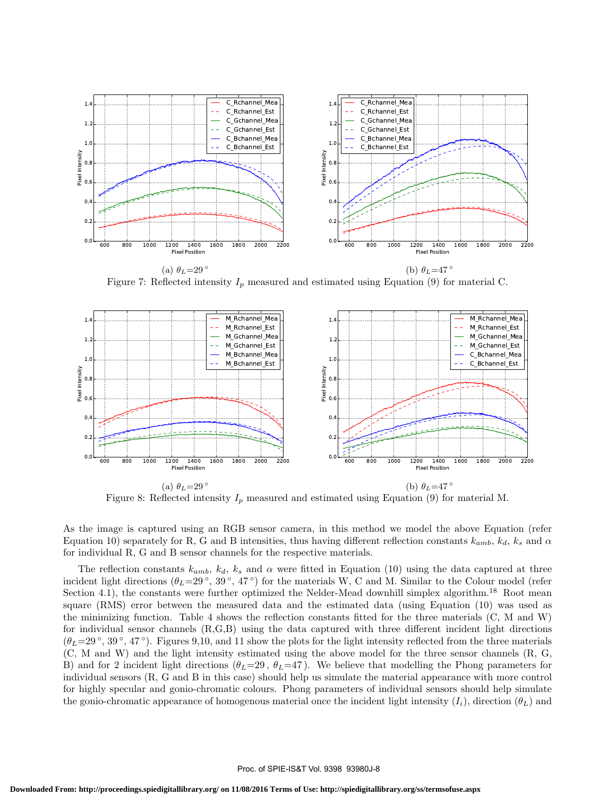

Figure 7: Reflected intensity  $I_p$  measured and estimated using Equation (9) for material C.



Figure 8: Reflected intensity  $I_p$  measured and estimated using Equation (9) for material M.

As the image is captured using an RGB sensor camera, in this method we model the above Equation (refer Equation 10) separately for R, G and B intensities, thus having different reflection constants  $k_{amb}$ ,  $k_d$ ,  $k_s$  and  $\alpha$ for individual R, G and B sensor channels for the respective materials.

The reflection constants  $k_{amb}$ ,  $k_d$ ,  $k_s$  and  $\alpha$  were fitted in Equation (10) using the data captured at three incident light directions ( $\theta_L=29^\circ$ ,  $39^\circ$ ,  $47^\circ$ ) for the materials W, C and M. Similar to the Colour model (refer Section 4.1), the constants were further optimized the Nelder-Mead downhill simplex algorithm.<sup>18</sup> Root mean square (RMS) error between the measured data and the estimated data (using Equation (10) was used as the minimizing function. Table 4 shows the reflection constants fitted for the three materials (C, M and W) for individual sensor channels  $(R, G, B)$  using the data captured with three different incident light directions  $(\theta_L=29^\circ, 39^\circ, 47^\circ)$ . Figures 9,10, and 11 show the plots for the light intensity reflected from the three materials (C, M and W) and the light intensity estimated using the above model for the three sensor channels (R, G, B) and for 2 incident light directions  $(\theta_L=29, \theta_L=47)$ . We believe that modelling the Phong parameters for individual sensors (R, G and B in this case) should help us simulate the material appearance with more control for highly specular and gonio-chromatic colours. Phong parameters of individual sensors should help simulate the gonio-chromatic appearance of homogenous material once the incident light intensity  $(I_i)$ , direction  $(\theta_L)$  and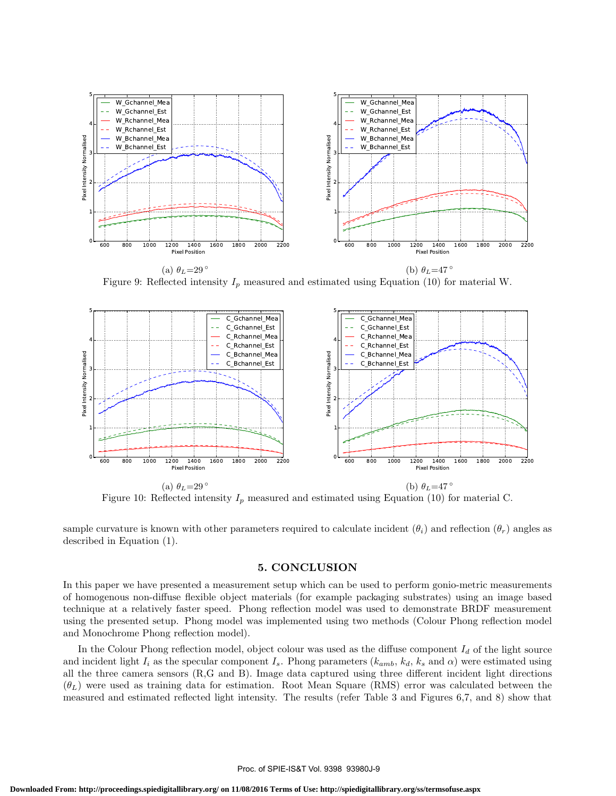

Figure 9: Reflected intensity  $I_p$  measured and estimated using Equation (10) for material W.



Figure 10: Reflected intensity  $I_p$  measured and estimated using Equation (10) for material C.

sample curvature is known with other parameters required to calculate incident  $(\theta_i)$  and reflection  $(\theta_r)$  angles as described in Equation (1).

# **5. CONCLUSION**

In this paper we have presented a measurement setup which can be used to perform gonio-metric measurements of homogenous non-diffuse flexible object materials (for example packaging substrates) using an image based technique at a relatively faster speed. Phong reflection model was used to demonstrate BRDF measurement using the presented setup. Phong model was implemented using two methods (Colour Phong reflection model and Monochrome Phong reflection model).

In the Colour Phong reflection model, object colour was used as the diffuse component  $I_d$  of the light source and incident light  $I_i$  as the specular component  $I_s$ . Phong parameters  $(k_{amb}, k_d, k_s \text{ and } \alpha)$  were estimated using all the three camera sensors (R,G and B). Image data captured using three different incident light directions  $(\theta_L)$  were used as training data for estimation. Root Mean Square (RMS) error was calculated between the measured and estimated reflected light intensity. The results (refer Table 3 and Figures 6,7, and 8) show that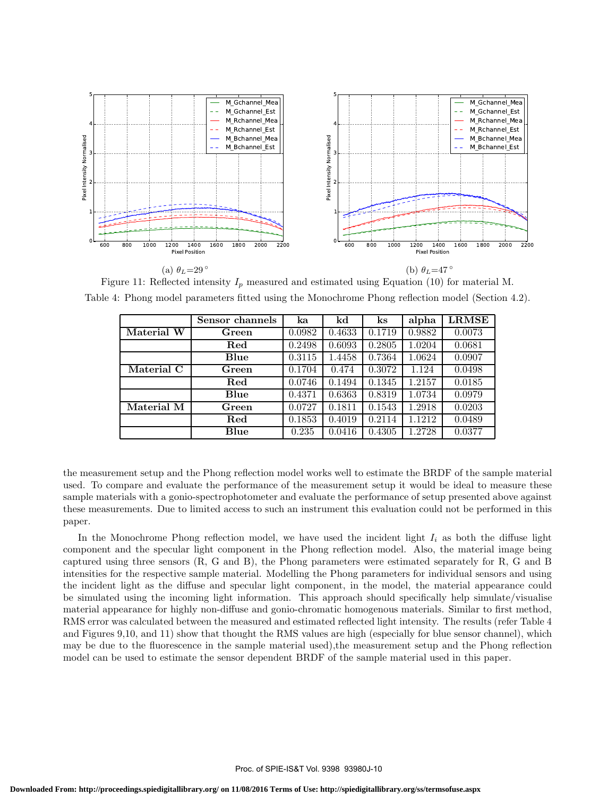

Figure 11: Reflected intensity  $I_p$  measured and estimated using Equation (10) for material M. Table 4: Phong model parameters fitted using the Monochrome Phong reflection model (Section 4.2).

|            | Sensor channels | ka     | kd     | $\mathbf{k}$ s | alpha  | <b>LRMSE</b> |
|------------|-----------------|--------|--------|----------------|--------|--------------|
| Material W | Green           | 0.0982 | 0.4633 | 0.1719         | 0.9882 | 0.0073       |
|            | $_{\rm Red}$    | 0.2498 | 0.6093 | 0.2805         | 1.0204 | 0.0681       |
|            | Blue            | 0.3115 | 1.4458 | 0.7364         | 1.0624 | 0.0907       |
| Material C | Green           | 0.1704 | 0.474  | 0.3072         | 1.124  | 0.0498       |
|            | Red             | 0.0746 | 0.1494 | 0.1345         | 1.2157 | 0.0185       |
|            | Blue            | 0.4371 | 0.6363 | 0.8319         | 1.0734 | 0.0979       |
| Material M | Green           | 0.0727 | 0.1811 | 0.1543         | 1.2918 | 0.0203       |
|            | $_{\rm Red}$    | 0.1853 | 0.4019 | 0.2114         | 1.1212 | 0.0489       |
|            | Blue            | 0.235  | 0.0416 | 0.4305         | 1.2728 | 0.0377       |

the measurement setup and the Phong reflection model works well to estimate the BRDF of the sample material used. To compare and evaluate the performance of the measurement setup it would be ideal to measure these sample materials with a gonio-spectrophotometer and evaluate the performance of setup presented above against these measurements. Due to limited access to such an instrument this evaluation could not be performed in this paper.

In the Monochrome Phong reflection model, we have used the incident light  $I_i$  as both the diffuse light component and the specular light component in the Phong reflection model. Also, the material image being captured using three sensors (R, G and B), the Phong parameters were estimated separately for R, G and B intensities for the respective sample material. Modelling the Phong parameters for individual sensors and using the incident light as the diffuse and specular light component, in the model, the material appearance could be simulated using the incoming light information. This approach should specifically help simulate/visualise material appearance for highly non-diffuse and gonio-chromatic homogenous materials. Similar to first method, RMS error was calculated between the measured and estimated reflected light intensity. The results (refer Table 4 and Figures 9,10, and 11) show that thought the RMS values are high (especially for blue sensor channel), which may be due to the fluorescence in the sample material used),the measurement setup and the Phong reflection model can be used to estimate the sensor dependent BRDF of the sample material used in this paper.